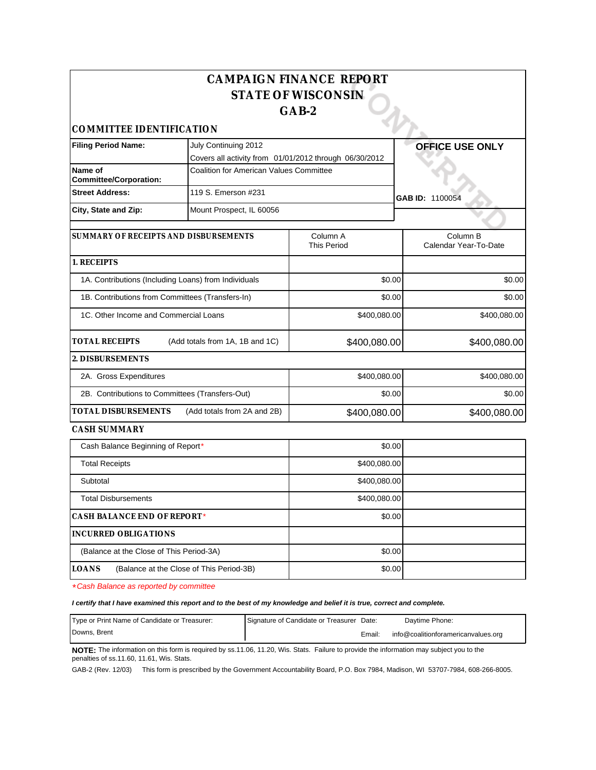|                                                      |                                                        | <b>CAMPAIGN FINANCE REPORT</b><br><b>STATE OF WISCONSIN</b><br>GAB-2 |                                   |
|------------------------------------------------------|--------------------------------------------------------|----------------------------------------------------------------------|-----------------------------------|
| COMMITTEE IDENTIFICATION                             |                                                        |                                                                      |                                   |
| <b>Filing Period Name:</b>                           | July Continuing 2012                                   |                                                                      | <b>OFFICE USE ONLY</b>            |
|                                                      | Covers all activity from 01/01/2012 through 06/30/2012 |                                                                      |                                   |
| Name of<br><b>Committee/Corporation:</b>             | Coalition for American Values Committee                |                                                                      |                                   |
| <b>Street Address:</b>                               | 119 S. Emerson #231                                    |                                                                      | GAB ID: 1100054                   |
| City, State and Zip:                                 | Mount Prospect, IL 60056                               |                                                                      |                                   |
| SUMMARY OF RECEIPTS AND DISBURSEMENTS                |                                                        | Column A<br><b>This Period</b>                                       | Column B<br>Calendar Year-To-Date |
| 1. RECEIPTS                                          |                                                        |                                                                      |                                   |
| 1A. Contributions (Including Loans) from Individuals |                                                        | \$0.00                                                               | \$0.00                            |
| 1B. Contributions from Committees (Transfers-In)     |                                                        | \$0.00                                                               | \$0.00                            |
| 1C. Other Income and Commercial Loans                |                                                        | \$400,080.00                                                         | \$400,080.00                      |
| <b>TOTAL RECEIPTS</b>                                | (Add totals from 1A, 1B and 1C)                        | \$400,080.00                                                         | \$400,080.00                      |
| 2. DISBURSEMENTS                                     |                                                        |                                                                      |                                   |
| 2A. Gross Expenditures                               |                                                        | \$400,080.00                                                         | \$400,080.00                      |
| 2B. Contributions to Committees (Transfers-Out)      |                                                        | \$0.00                                                               | \$0.00                            |
| TOTAL DISBURSEMENTS                                  | (Add totals from 2A and 2B)                            | \$400,080.00                                                         | \$400,080.00                      |
| CASH SUMMARY                                         |                                                        |                                                                      |                                   |
| Cash Balance Beginning of Report*                    |                                                        | \$0.00                                                               |                                   |
| <b>Total Receipts</b>                                |                                                        | \$400,080.00                                                         |                                   |
| Subtotal                                             |                                                        | \$400,080.00                                                         |                                   |
| <b>Total Disbursements</b>                           |                                                        | \$400,080.00                                                         |                                   |
| CASH BALANCE END OF REPORT*                          |                                                        | \$0.00                                                               |                                   |
| INCURRED OBLIGATIONS                                 |                                                        |                                                                      |                                   |
| (Balance at the Close of This Period-3A)             |                                                        | \$0.00                                                               |                                   |
| LOANS                                                | (Balance at the Close of This Period-3B)               | \$0.00                                                               |                                   |

\*Cash Balance as reported by committee

**I certify that I have examined this report and to the best of my knowledge and belief it is true, correct and complete.**

| Type or Print Name of Candidate or Treasurer: | Signature of Candidate or Treasurer Date: |        | Davtime Phone:                      |
|-----------------------------------------------|-------------------------------------------|--------|-------------------------------------|
| Downs. Brent                                  |                                           | Email: | info@coalitionforamericanvalues.org |

**NOTE:** The information on this form is required by ss.11.06, 11.20, Wis. Stats. Failure to provide the information may subject you to the penalties of ss.11.60, 11.61, Wis. Stats.

GAB-2 (Rev. 12/03) This form is prescribed by the Government Accountability Board, P.O. Box 7984, Madison, WI 53707-7984, 608-266-8005.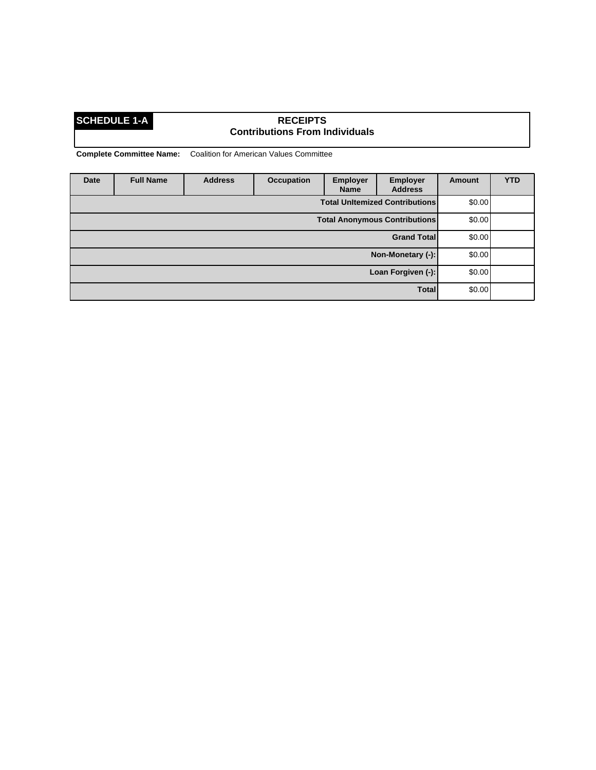## **SCHEDULE 1-A RECEIPTS Contributions From Individuals**

| Date | <b>Full Name</b> | <b>Address</b> | <b>Occupation</b> | <b>Employer</b><br><b>Name</b> | <b>Employer</b><br><b>Address</b>     | <b>Amount</b> | <b>YTD</b> |
|------|------------------|----------------|-------------------|--------------------------------|---------------------------------------|---------------|------------|
|      |                  |                |                   |                                | <b>Total Unitemized Contributions</b> | \$0.00        |            |
|      |                  |                |                   |                                | <b>Total Anonymous Contributions</b>  | \$0.00        |            |
|      |                  |                |                   |                                | <b>Grand Total</b>                    | \$0.00        |            |
|      |                  |                |                   |                                | Non-Monetary (-):                     | \$0.00        |            |
|      |                  |                |                   |                                | Loan Forgiven (-):                    | \$0.00        |            |
|      |                  |                |                   |                                | <b>Total</b>                          | \$0.00        |            |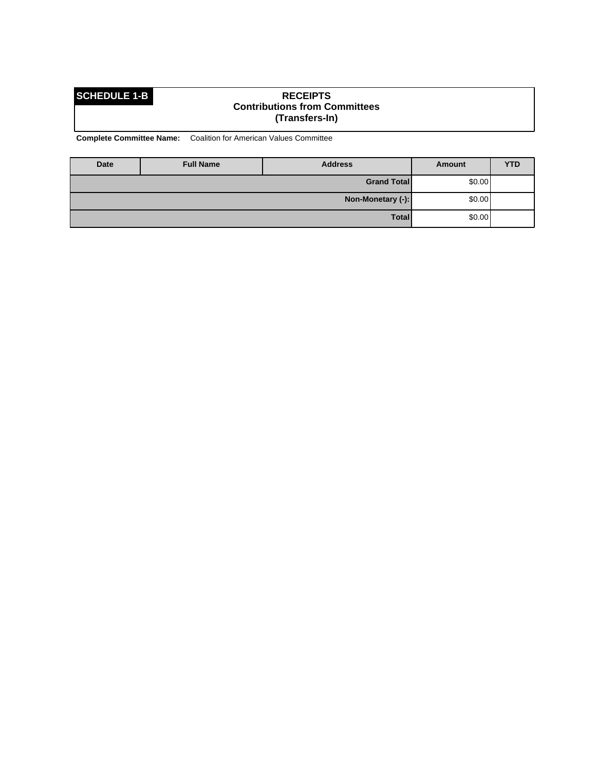### **SCHEDULE 1-B RECEIPTS Contributions from Committees (Transfers-In)**

| <b>Date</b>       | <b>Full Name</b> | <b>Address</b>     | Amount | <b>YTD</b> |
|-------------------|------------------|--------------------|--------|------------|
|                   |                  | <b>Grand Total</b> | \$0.00 |            |
| Non-Monetary (-): |                  |                    | \$0.00 |            |
|                   |                  | Total              | \$0.00 |            |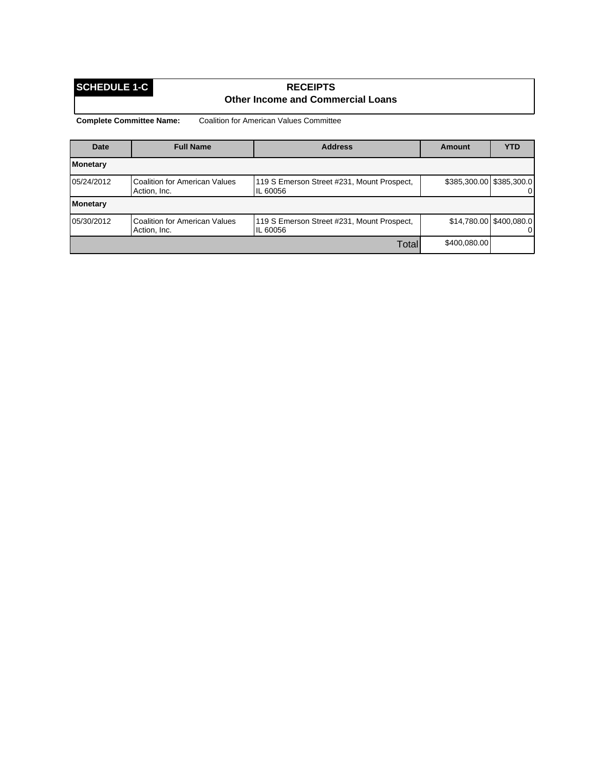## **SCHEDULE 1-C RECEIPTS Other Income and Commercial Loans**

| Date       | <b>Full Name</b>                                     | <b>Address</b>                                         | Amount                   | <b>YTD</b>                          |
|------------|------------------------------------------------------|--------------------------------------------------------|--------------------------|-------------------------------------|
| Monetary   |                                                      |                                                        |                          |                                     |
| 05/24/2012 | <b>Coalition for American Values</b><br>Action, Inc. | 119 S Emerson Street #231, Mount Prospect,<br>IL 60056 | \$385,300.00 \$385,300.0 | $\overline{0}$                      |
| Monetary   |                                                      |                                                        |                          |                                     |
| 05/30/2012 | Coalition for American Values<br>Action, Inc.        | 119 S Emerson Street #231, Mount Prospect,<br>IL 60056 |                          | \$14,780.00 \$400,080.0<br>$\Omega$ |
|            |                                                      | Total                                                  | \$400,080.00             |                                     |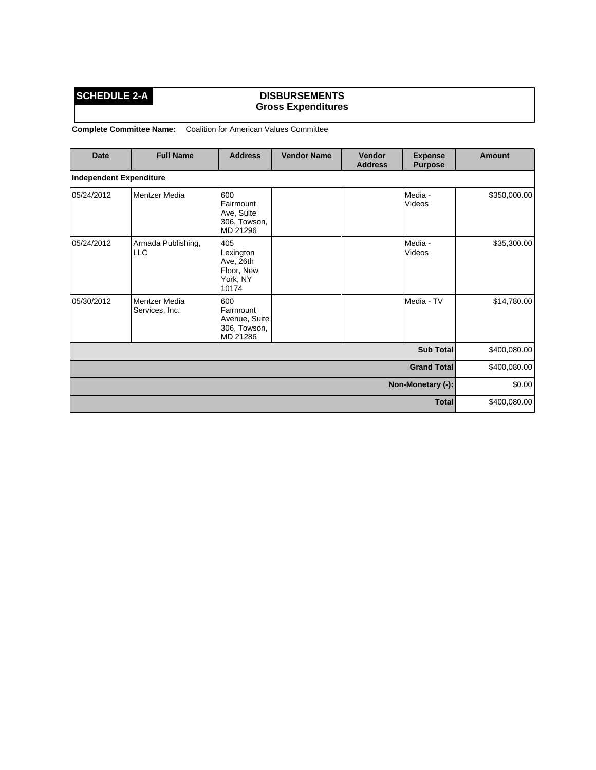## **SCHEDULE 2-A DISBURSEMENTS Gross Expenditures**

| <b>Date</b>             | <b>Full Name</b>                 | <b>Address</b>                                                   | <b>Vendor Name</b> | Vendor<br><b>Address</b> | <b>Expense</b><br><b>Purpose</b> | Amount       |
|-------------------------|----------------------------------|------------------------------------------------------------------|--------------------|--------------------------|----------------------------------|--------------|
| Independent Expenditure |                                  |                                                                  |                    |                          |                                  |              |
| 05/24/2012              | Mentzer Media                    | 600<br>Fairmount<br>Ave, Suite<br>306, Towson,<br>MD 21296       |                    |                          | Media -<br>Videos                | \$350,000.00 |
| 05/24/2012              | Armada Publishing,<br><b>LLC</b> | 405<br>Lexington<br>Ave, 26th<br>Floor, New<br>York, NY<br>10174 |                    |                          | Media -<br>Videos                | \$35,300.00  |
| 05/30/2012              | Mentzer Media<br>Services, Inc.  | 600<br>Fairmount<br>Avenue, Suite<br>306, Towson,<br>MD 21286    |                    |                          | Media - TV                       | \$14,780.00  |
| <b>Sub Total</b>        |                                  |                                                                  |                    |                          |                                  | \$400,080.00 |
| <b>Grand Total</b>      |                                  |                                                                  |                    |                          | \$400,080.00                     |              |
| Non-Monetary (-):       |                                  |                                                                  |                    |                          | \$0.00                           |              |
| <b>Total</b>            |                                  |                                                                  |                    |                          | \$400,080.00                     |              |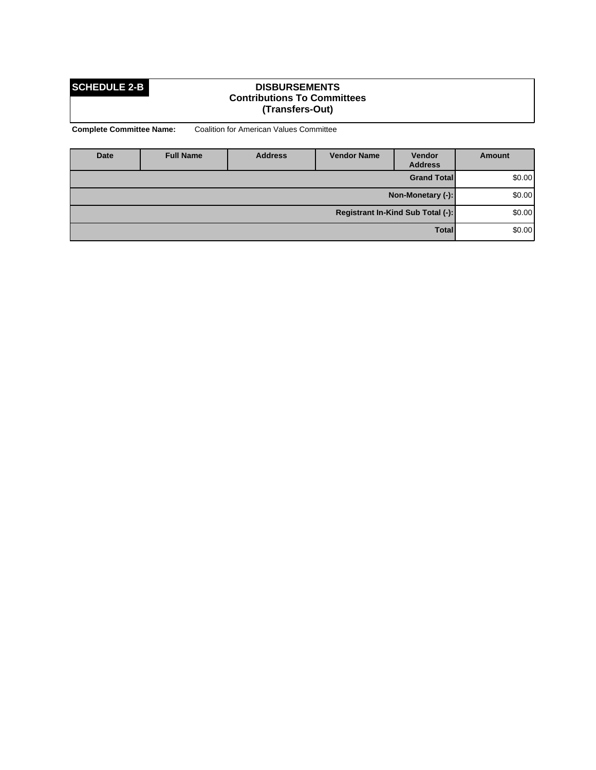### **SCHEDULE 2-B DISBURSEMENTS Contributions To Committees (Transfers-Out)**

| Date              | <b>Full Name</b> | <b>Address</b> | <b>Vendor Name</b> | <b>Vendor</b><br><b>Address</b>   | Amount  |
|-------------------|------------------|----------------|--------------------|-----------------------------------|---------|
|                   |                  |                |                    | <b>Grand Total</b>                | \$0.00] |
| Non-Monetary (-): |                  |                |                    | \$0.00]                           |         |
|                   |                  |                |                    | Registrant In-Kind Sub Total (-): | \$0.00] |
|                   |                  |                |                    | <b>Total</b>                      | \$0.00] |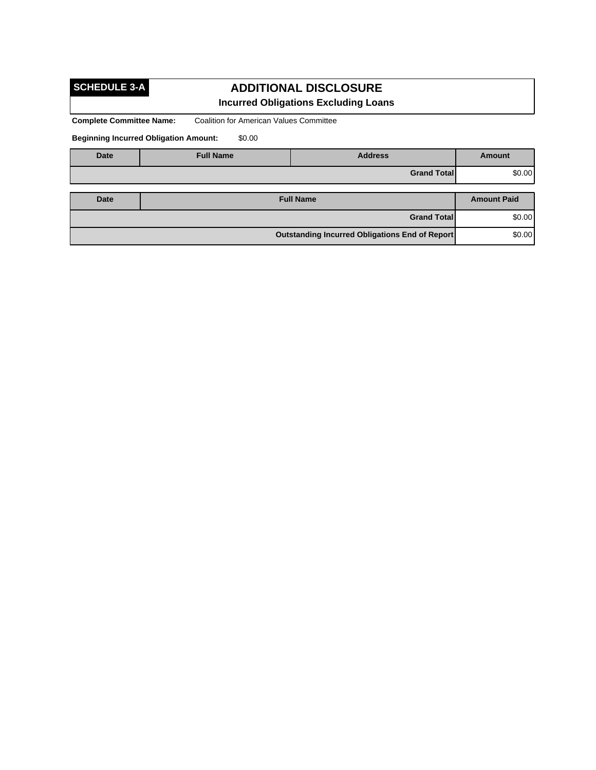# **SCHEDULE 3-A**

# **ADDITIONAL DISCLOSURE Incurred Obligations Excluding Loans**

**Complete Committee Name:** Coalition for American Values Committee

**Beginning Incurred Obligation Amount:** \$0.00

| <b>Date</b>        | <b>Full Name</b>                                         | <b>Address</b>     | <b>Amount</b> |
|--------------------|----------------------------------------------------------|--------------------|---------------|
| <b>Grand Total</b> |                                                          | \$0.00             |               |
|                    |                                                          |                    |               |
| Date               | <b>Full Name</b>                                         | <b>Amount Paid</b> |               |
|                    | \$0.00<br><b>Grand Total</b>                             |                    |               |
|                    | \$0.00<br>Outstanding Incurred Obligations End of Report |                    |               |